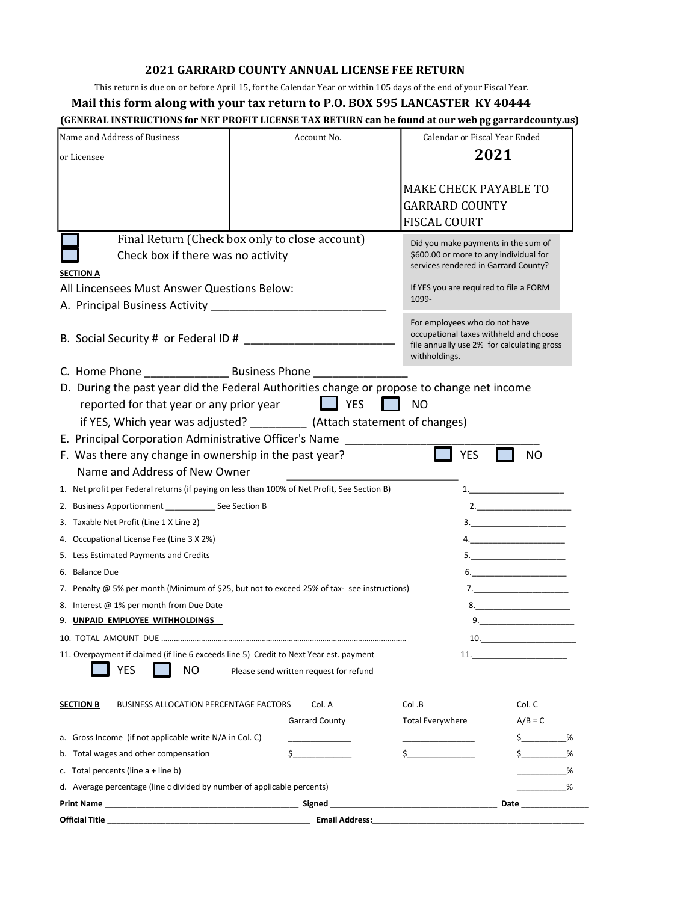## 2021 GARRARD COUNTY ANNUAL LICENSE FEE RETURN

## Mail this form along with your tax return to P.O. BOX 595 LANCASTER KY 40444

|                                                                                                      | <b>2021 GARRARD COUNTY ANNUAL LICENSE FEE RETURN</b>                                                               |                                                             |                                                                                                                                                                                                                                     |
|------------------------------------------------------------------------------------------------------|--------------------------------------------------------------------------------------------------------------------|-------------------------------------------------------------|-------------------------------------------------------------------------------------------------------------------------------------------------------------------------------------------------------------------------------------|
|                                                                                                      | This return is due on or before April 15, for the Calendar Year or within 105 days of the end of your Fiscal Year. |                                                             |                                                                                                                                                                                                                                     |
|                                                                                                      | Mail this form along with your tax return to P.O. BOX 595 LANCASTER KY 40444                                       |                                                             |                                                                                                                                                                                                                                     |
| (GENERAL INSTRUCTIONS for NET PROFIT LICENSE TAX RETURN can be found at our web pg garrardcounty.us) |                                                                                                                    |                                                             |                                                                                                                                                                                                                                     |
| Name and Address of Business                                                                         | Account No.                                                                                                        | Calendar or Fiscal Year Ended                               |                                                                                                                                                                                                                                     |
| or Licensee                                                                                          |                                                                                                                    |                                                             | 2021                                                                                                                                                                                                                                |
|                                                                                                      |                                                                                                                    |                                                             |                                                                                                                                                                                                                                     |
|                                                                                                      |                                                                                                                    | <b>MAKE CHECK PAYABLE TO</b>                                |                                                                                                                                                                                                                                     |
|                                                                                                      |                                                                                                                    | <b>GARRARD COUNTY</b>                                       |                                                                                                                                                                                                                                     |
|                                                                                                      |                                                                                                                    | <b>FISCAL COURT</b>                                         |                                                                                                                                                                                                                                     |
|                                                                                                      | Final Return (Check box only to close account)                                                                     | Did you make payments in the sum of                         |                                                                                                                                                                                                                                     |
| Check box if there was no activity                                                                   |                                                                                                                    | \$600.00 or more to any individual for                      |                                                                                                                                                                                                                                     |
| <b>SECTION A</b>                                                                                     |                                                                                                                    | services rendered in Garrard County?                        |                                                                                                                                                                                                                                     |
| All Lincensees Must Answer Questions Below:                                                          |                                                                                                                    | If YES you are required to file a FORM                      |                                                                                                                                                                                                                                     |
|                                                                                                      |                                                                                                                    | 1099-                                                       |                                                                                                                                                                                                                                     |
|                                                                                                      |                                                                                                                    | For employees who do not have                               |                                                                                                                                                                                                                                     |
|                                                                                                      |                                                                                                                    | occupational taxes withheld and choose                      |                                                                                                                                                                                                                                     |
|                                                                                                      |                                                                                                                    | file annually use 2% for calculating gross<br>withholdings. |                                                                                                                                                                                                                                     |
|                                                                                                      |                                                                                                                    |                                                             |                                                                                                                                                                                                                                     |
| D. During the past year did the Federal Authorities change or propose to change net income           |                                                                                                                    |                                                             |                                                                                                                                                                                                                                     |
| reported for that year or any prior year                                                             | $\Box$ YES                                                                                                         | <b>NO</b>                                                   |                                                                                                                                                                                                                                     |
|                                                                                                      | if YES, Which year was adjusted? __________ (Attach statement of changes)                                          |                                                             |                                                                                                                                                                                                                                     |
| E. Principal Corporation Administrative Officer's Name __________                                    |                                                                                                                    |                                                             |                                                                                                                                                                                                                                     |
| F. Was there any change in ownership in the past year?                                               |                                                                                                                    | <b>YES</b>                                                  | <b>NO</b>                                                                                                                                                                                                                           |
| Name and Address of New Owner                                                                        |                                                                                                                    |                                                             |                                                                                                                                                                                                                                     |
| 1. Net profit per Federal returns (if paying on less than 100% of Net Profit, See Section B)         |                                                                                                                    |                                                             |                                                                                                                                                                                                                                     |
| 2. Business Apportionment ________________ See Section B                                             |                                                                                                                    |                                                             |                                                                                                                                                                                                                                     |
|                                                                                                      |                                                                                                                    |                                                             |                                                                                                                                                                                                                                     |
| 3. Taxable Net Profit (Line 1 X Line 2)                                                              |                                                                                                                    |                                                             |                                                                                                                                                                                                                                     |
| 4. Occupational License Fee (Line 3 X 2%)                                                            |                                                                                                                    |                                                             |                                                                                                                                                                                                                                     |
| 5. Less Estimated Payments and Credits                                                               |                                                                                                                    |                                                             |                                                                                                                                                                                                                                     |
| 6. Balance Due                                                                                       |                                                                                                                    |                                                             |                                                                                                                                                                                                                                     |
| 7. Penalty @ 5% per month (Minimum of \$25, but not to exceed 25% of tax-see instructions)           |                                                                                                                    |                                                             |                                                                                                                                                                                                                                     |
| 8. Interest @ 1% per month from Due Date                                                             |                                                                                                                    |                                                             |                                                                                                                                                                                                                                     |
| 9. UNPAID EMPLOYEE WITHHOLDINGS                                                                      |                                                                                                                    |                                                             | the control of the control of the                                                                                                                                                                                                   |
|                                                                                                      |                                                                                                                    |                                                             | 10.                                                                                                                                                                                                                                 |
| 11. Overpayment if claimed (if line 6 exceeds line 5) Credit to Next Year est. payment               |                                                                                                                    |                                                             | <b>11.</b> The contract of the contract of the contract of the contract of the contract of the contract of the contract of the contract of the contract of the contract of the contract of the contract of the contract of the cont |
| <b>YES</b><br>NO.                                                                                    | Please send written request for refund                                                                             |                                                             |                                                                                                                                                                                                                                     |
|                                                                                                      |                                                                                                                    |                                                             |                                                                                                                                                                                                                                     |
| <b>SECTION B</b><br><b>BUSINESS ALLOCATION PERCENTAGE FACTORS</b>                                    | Col. A                                                                                                             | Col.B                                                       | Col. C                                                                                                                                                                                                                              |
|                                                                                                      | <b>Garrard County</b>                                                                                              | Total Everywhere                                            | $A/B = C$                                                                                                                                                                                                                           |
| a. Gross Income (if not applicable write N/A in Col. C)                                              |                                                                                                                    |                                                             |                                                                                                                                                                                                                                     |
| b. Total wages and other compensation                                                                |                                                                                                                    |                                                             |                                                                                                                                                                                                                                     |
| c. Total percents (line $a + line b$ )                                                               |                                                                                                                    |                                                             |                                                                                                                                                                                                                                     |
| d. Average percentage (line c divided by number of applicable percents)                              |                                                                                                                    |                                                             |                                                                                                                                                                                                                                     |
| Print Name                                                                                           | <b>Example 2016</b> Signed Signed                                                                                  |                                                             | Date                                                                                                                                                                                                                                |
| <b>Official Title</b><br><u> 1980 - Johann Barn, margaret eta idazlea (h. 1980).</u>                 | <b>Email Address:</b> Email Address:                                                                               |                                                             |                                                                                                                                                                                                                                     |